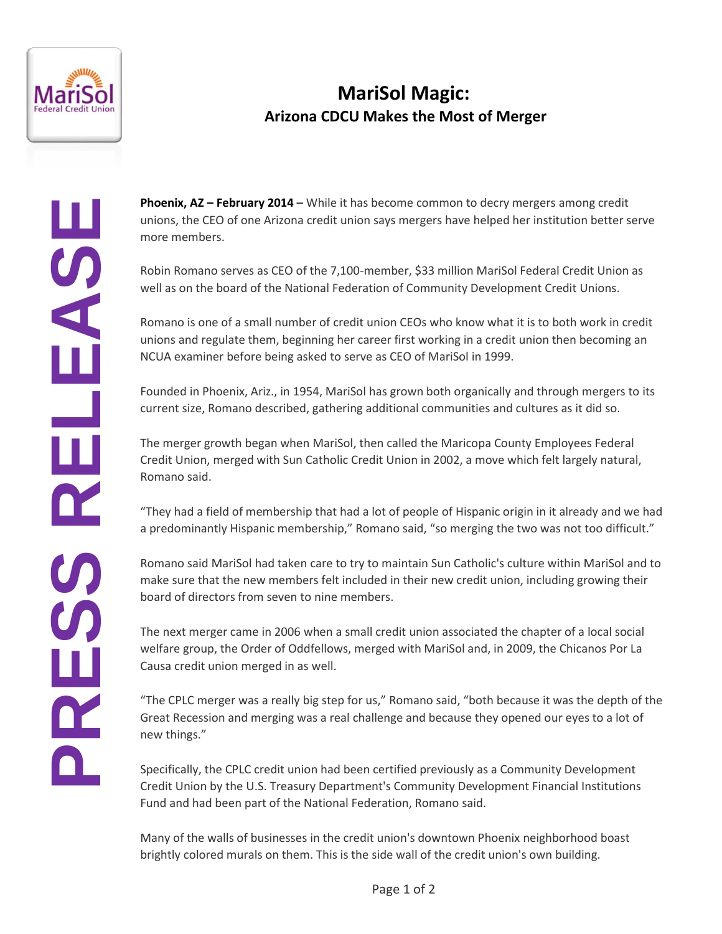

## **MariSol Magic: Arizona CDCU Makes the Most of Merger**

**Phoenix, AZ – February 2014** – While it has become common to decry mergers among credit unions, the CEO of one Arizona credit union says mergers have helped her institution better serve more members.

Robin Romano serves as CEO of the 7,100-member, \$33 million MariSol Federal Credit Union as well as on the board of the National Federation of Community Development Credit Unions.

Romano is one of a small number of credit union CEOs who know what it is to both work in credit unions and regulate them, beginning her career first working in a credit union then becoming an NCUA examiner before being asked to serve as CEO of MariSol in 1999.

Founded in Phoenix, Ariz., in 1954, MariSol has grown both organically and through mergers to its current size, Romano described, gathering additional communities and cultures as it did so.

The merger growth began when MariSol, then called the Maricopa County Employees Federal Credit Union, merged with Sun Catholic Credit Union in 2002, a move which felt largely natural, Romano said.

"They had a field of membership that had a lot of people of Hispanic origin in it already and we had a predominantly Hispanic membership," Romano said, "so merging the two was not too difficult."

Romano said MariSol had taken care to try to maintain Sun Catholic's culture within MariSol and to make sure that the new members felt included in their new credit union, including growing their board of directors from seven to nine members.

The next merger came in 2006 when a small credit union associated the chapter of a local social welfare group, the Order of Oddfellows, merged with MariSol and, in 2009, the Chicanos Por La Causa credit union merged in as well.

"The CPLC merger was a really big step for us," Romano said, "both because it was the depth of the Great Recession and merging was a real challenge and because they opened our eyes to a lot of new things."

Specifically, the CPLC credit union had been certified previously as a Community Development Credit Union by the U.S. Treasury Department's Community Development Financial Institutions Fund and had been part of the National Federation, Romano said.

Many of the walls of businesses in the credit union's downtown Phoenix neighborhood boast brightly colored murals on them. This is the side wall of the credit union's own building.